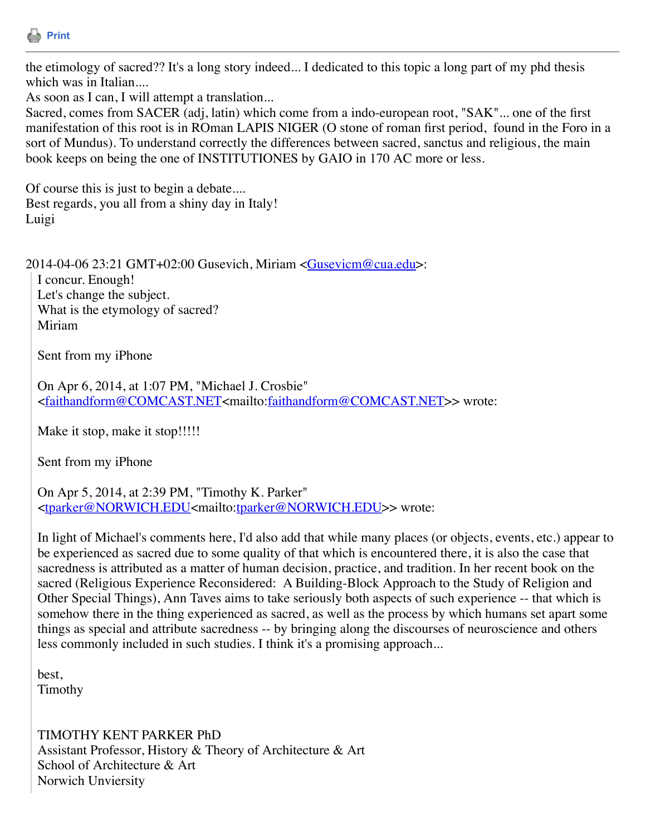

the etimology of sacred?? It's a long story indeed... I dedicated to this topic a long part of my phd thesis which was in Italian....

As soon as I can, I will attempt a translation...

Sacred, comes from SACER (adj, latin) which come from a indo-european root, "SAK"... one of the first manifestation of this root is in ROman LAPIS NIGER (O stone of roman first period, found in the Foro in a sort of Mundus). To understand correctly the differences between sacred, sanctus and religious, the main book keeps on being the one of INSTITUTIONES by GAIO in 170 AC more or less.

Of course this is just to begin a debate.... Best regards, you all from a shiny day in Italy! Luigi

 $2014-04-06$  23:21 GMT+02:00 Gusevich, Miriam  $\leq$ Gusevicm@cua.edu>:

I concur. Enough! Let's change the subject. What is the etymology of sacred? Miriam

Sent from my iPhone

On Apr 6, 2014, at 1:07 PM, "Michael J. Crosbie" <[faithandform@COMCAST.NET](mailto:faithandform@COMCAST.NET)<mailto:[faithandform@COMCAST.NET](mailto:faithandform@COMCAST.NET)>> wrote:

Make it stop, make it stop!!!!!

Sent from my iPhone

On Apr 5, 2014, at 2:39 PM, "Timothy K. Parker" <[tparker@NORWICH.EDU<](mailto:tparker@NORWICH.EDU)mailto[:tparker@NORWICH.EDU](mailto:tparker@NORWICH.EDU)>> wrote:

In light of Michael's comments here, I'd also add that while many places (or objects, events, etc.) appear to be experienced as sacred due to some quality of that which is encountered there, it is also the case that sacredness is attributed as a matter of human decision, practice, and tradition. In her recent book on the sacred (Religious Experience Reconsidered: A Building-Block Approach to the Study of Religion and Other Special Things), Ann Taves aims to take seriously both aspects of such experience -- that which is somehow there in the thing experienced as sacred, as well as the process by which humans set apart some things as special and attribute sacredness -- by bringing along the discourses of neuroscience and others less commonly included in such studies. I think it's a promising approach...

best, Timothy

TIMOTHY KENT PARKER PhD Assistant Professor, History & Theory of Architecture & Art School of Architecture & Art Norwich Unviersity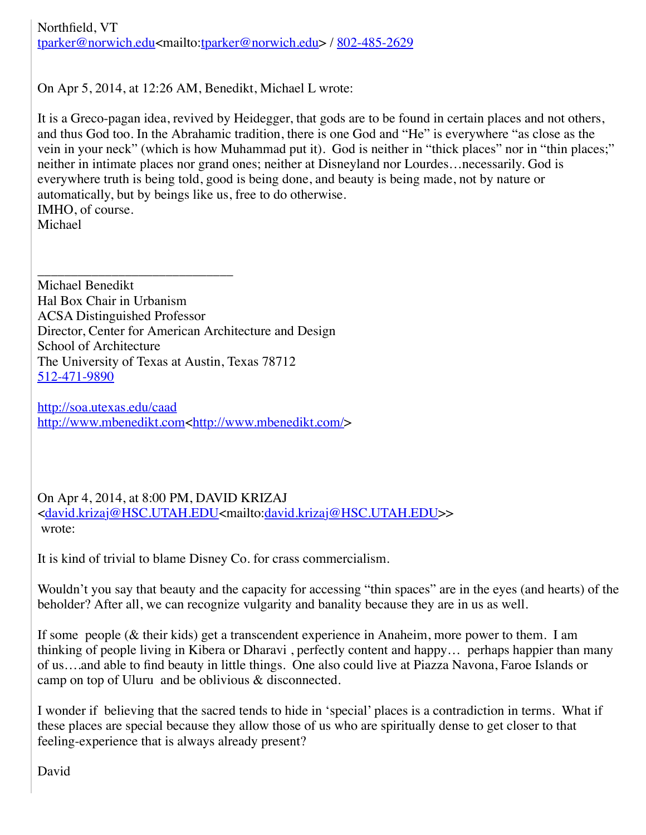Northfield, VT [tparker@norwich.edu](mailto:tparker@norwich.edu)<mailto:[tparker@norwich.edu](mailto:tparker@norwich.edu)> / [802-485-2629](tel:802-485-2629)

On Apr 5, 2014, at 12:26 AM, Benedikt, Michael L wrote:

It is a Greco-pagan idea, revived by Heidegger, that gods are to be found in certain places and not others, and thus God too. In the Abrahamic tradition, there is one God and "He" is everywhere "as close as the vein in your neck" (which is how Muhammad put it). God is neither in "thick places" nor in "thin places;" neither in intimate places nor grand ones; neither at Disneyland nor Lourdes…necessarily. God is everywhere truth is being told, good is being done, and beauty is being made, not by nature or automatically, but by beings like us, free to do otherwise. IMHO, of course. Michael

Michael Benedikt Hal Box Chair in Urbanism ACSA Distinguished Professor Director, Center for American Architecture and Design School of Architecture The University of Texas at Austin, Texas 78712 [512-471-9890](tel:512-471-9890)

\_\_\_\_\_\_\_\_\_\_\_\_\_\_\_\_\_\_\_\_\_\_\_\_\_\_\_\_\_

<http://soa.utexas.edu/caad> [http://www.mbenedikt.com](http://www.mbenedikt.com/)<<http://www.mbenedikt.com/>>

On Apr 4, 2014, at 8:00 PM, DAVID KRIZAJ <[david.krizaj@HSC.UTAH.EDU](mailto:david.krizaj@HSC.UTAH.EDU)<mailto:[david.krizaj@HSC.UTAH.EDU>](mailto:david.krizaj@HSC.UTAH.EDU)> wrote:

It is kind of trivial to blame Disney Co. for crass commercialism.

Wouldn't you say that beauty and the capacity for accessing "thin spaces" are in the eyes (and hearts) of the beholder? After all, we can recognize vulgarity and banality because they are in us as well.

If some people (& their kids) get a transcendent experience in Anaheim, more power to them. I am thinking of people living in Kibera or Dharavi , perfectly content and happy… perhaps happier than many of us….and able to find beauty in little things. One also could live at Piazza Navona, Faroe Islands or camp on top of Uluru and be oblivious & disconnected.

I wonder if believing that the sacred tends to hide in 'special' places is a contradiction in terms. What if these places are special because they allow those of us who are spiritually dense to get closer to that feeling-experience that is always already present?

David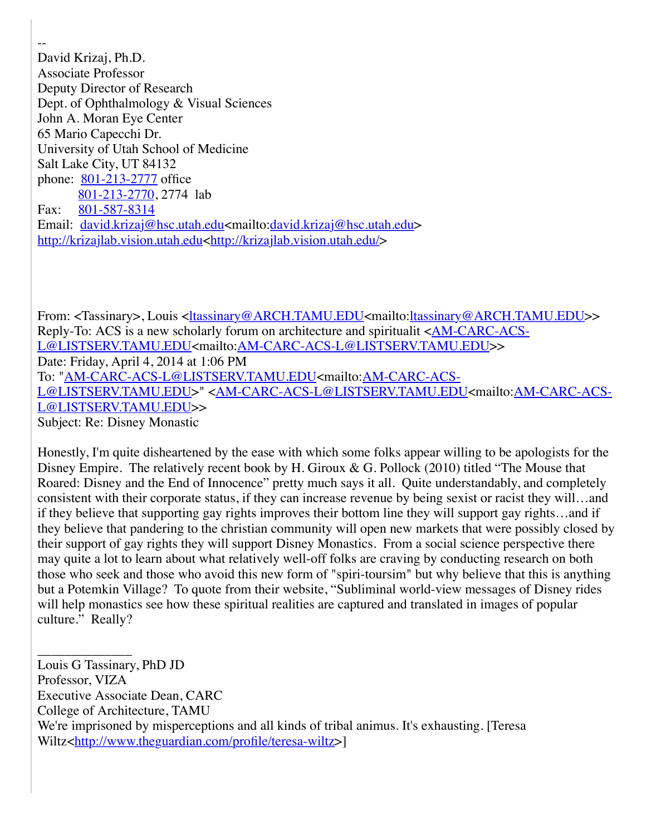-- David Krizaj, Ph.D. Associate Professor Deputy Director of Research Dept. of Ophthalmology & Visual Sciences John A. Moran Eye Center 65 Mario Capecchi Dr. University of Utah School of Medicine Salt Lake City, UT 84132 phone: [801-213-2777](tel:801-213-2777) office [801-213-2770](tel:801-213-2770), 2774 lab Fax: [801-587-8314](tel:801-587-8314) Email: [david.krizaj@hsc.utah.edu<](mailto:david.krizaj@hsc.utah.edu)mailto[:david.krizaj@hsc.utah.edu>](mailto:david.krizaj@hsc.utah.edu) [http://krizajlab.vision.utah.edu](http://krizajlab.vision.utah.edu/)<[http://krizajlab.vision.utah.edu/>](http://krizajlab.vision.utah.edu/)

From: <Tassinary>, Louis [<ltassinary@ARCH.TAMU.EDU](mailto:ltassinary@ARCH.TAMU.EDU)<mailto:[ltassinary@ARCH.TAMU.EDU](mailto:ltassinary@ARCH.TAMU.EDU)>> [Reply-To: ACS is a new scholarly forum on architecture and spiritualit <AM-CARC-ACS-](mailto:AM-CARC-ACS-L@LISTSERV.TAMU.EDU)L@LISTSERV.TAMU.EDU<mailto[:AM-CARC-ACS-L@LISTSERV.TAMU.EDU](mailto:AM-CARC-ACS-L@LISTSERV.TAMU.EDU)>> Date: Friday, April 4, 2014 at 1:06 PM To: "[AM-CARC-ACS-L@LISTSERV.TAMU.EDU](mailto:AM-CARC-ACS-L@LISTSERV.TAMU.EDU)<mailto:AM-CARC-ACS-L@LISTSERV.TAMU.EDU>"<AM-CARC-ACS-L@LISTSERV.TAMU.EDU<mailto:AM-CARC-ACS-L@LISTSERV.TAMU.EDU>> Subject: Re: Disney Monastic

Honestly, I'm quite disheartened by the ease with which some folks appear willing to be apologists for the Disney Empire. The relatively recent book by H. Giroux & G. Pollock (2010) titled "The Mouse that Roared: Disney and the End of Innocence" pretty much says it all. Quite understandably, and completely consistent with their corporate status, if they can increase revenue by being sexist or racist they will…and if they believe that supporting gay rights improves their bottom line they will support gay rights…and if they believe that pandering to the christian community will open new markets that were possibly closed by their support of gay rights they will support Disney Monastics. From a social science perspective there may quite a lot to learn about what relatively well-off folks are craving by conducting research on both those who seek and those who avoid this new form of "spiri-toursim" but why believe that this is anything but a Potemkin Village? To quote from their website, "Subliminal world-view messages of Disney rides will help monastics see how these spiritual realities are captured and translated in images of popular culture." Really?

\_\_\_\_\_\_\_\_\_\_\_\_\_\_ Louis G Tassinary, PhD JD Professor, VIZA Executive Associate Dean, CARC College of Architecture, TAMU We're imprisoned by misperceptions and all kinds of tribal animus. It's exhausting. [Teresa Wiltz<<http://www.theguardian.com/profile/teresa-wiltz>>]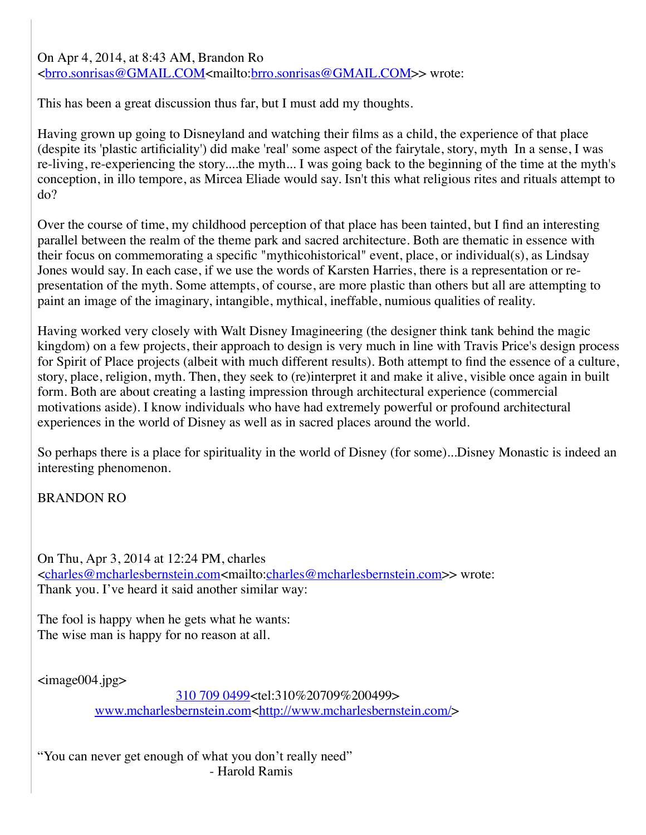On Apr 4, 2014, at 8:43 AM, Brandon Ro <[brro.sonrisas@GMAIL.COM<](mailto:brro.sonrisas@GMAIL.COM)mailto[:brro.sonrisas@GMAIL.COM>](mailto:brro.sonrisas@GMAIL.COM)> wrote:

This has been a great discussion thus far, but I must add my thoughts.

Having grown up going to Disneyland and watching their films as a child, the experience of that place (despite its 'plastic artificiality') did make 'real' some aspect of the fairytale, story, myth In a sense, I was re-living, re-experiencing the story....the myth... I was going back to the beginning of the time at the myth's conception, in illo tempore, as Mircea Eliade would say. Isn't this what religious rites and rituals attempt to do?

Over the course of time, my childhood perception of that place has been tainted, but I find an interesting parallel between the realm of the theme park and sacred architecture. Both are thematic in essence with their focus on commemorating a specific "mythicohistorical" event, place, or individual(s), as Lindsay Jones would say. In each case, if we use the words of Karsten Harries, there is a representation or representation of the myth. Some attempts, of course, are more plastic than others but all are attempting to paint an image of the imaginary, intangible, mythical, ineffable, numious qualities of reality.

Having worked very closely with Walt Disney Imagineering (the designer think tank behind the magic kingdom) on a few projects, their approach to design is very much in line with Travis Price's design process for Spirit of Place projects (albeit with much different results). Both attempt to find the essence of a culture, story, place, religion, myth. Then, they seek to (re)interpret it and make it alive, visible once again in built form. Both are about creating a lasting impression through architectural experience (commercial motivations aside). I know individuals who have had extremely powerful or profound architectural experiences in the world of Disney as well as in sacred places around the world.

So perhaps there is a place for spirituality in the world of Disney (for some)...Disney Monastic is indeed an interesting phenomenon.

BRANDON RO

On Thu, Apr 3, 2014 at 12:24 PM, charles <[charles@mcharlesbernstein.com](mailto:charles@mcharlesbernstein.com)<mailto:[charles@mcharlesbernstein.com](mailto:charles@mcharlesbernstein.com)>> wrote: Thank you. I've heard it said another similar way:

The fool is happy when he gets what he wants: The wise man is happy for no reason at all.

<image004.jpg>

 [310 709 0499](tel:310%20709%200499)<tel:310%20709%200499> [www.mcharlesbernstein.com](http://www.mcharlesbernstein.com/)<<http://www.mcharlesbernstein.com/>>

"You can never get enough of what you don't really need" - Harold Ramis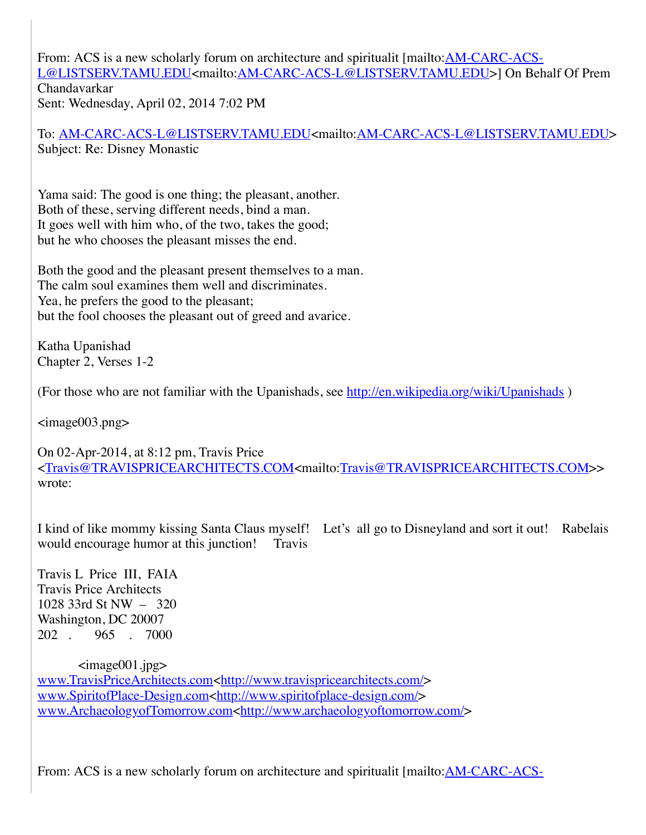From: ACS is a new scholarly forum on architecture and spiritualit [mailto: AM-CARC-ACS-L@LISTSERV.TAMU.EDU<mailto[:AM-CARC-ACS-L@LISTSERV.TAMU.EDU](mailto:AM-CARC-ACS-L@LISTSERV.TAMU.EDU)>] On Behalf Of Prem Chandavarkar Sent: Wednesday, April 02, 2014 7:02 PM

To: [AM-CARC-ACS-L@LISTSERV.TAMU.EDU<](mailto:AM-CARC-ACS-L@LISTSERV.TAMU.EDU)mailto[:AM-CARC-ACS-L@LISTSERV.TAMU.EDU>](mailto:AM-CARC-ACS-L@LISTSERV.TAMU.EDU) Subject: Re: Disney Monastic

Yama said: The good is one thing; the pleasant, another. Both of these, serving different needs, bind a man. It goes well with him who, of the two, takes the good; but he who chooses the pleasant misses the end.

Both the good and the pleasant present themselves to a man. The calm soul examines them well and discriminates. Yea, he prefers the good to the pleasant; but the fool chooses the pleasant out of greed and avarice.

Katha Upanishad Chapter 2, Verses 1-2

(For those who are not familiar with the Upanishads, see http://en.wikipedia.org/wiki/Upanishads)

<image003.png>

On 02-Apr-2014, at 8:12 pm, Travis Price <[Travis@TRAVISPRICEARCHITECTS.COM<](mailto:Travis@TRAVISPRICEARCHITECTS.COM)mailto[:Travis@TRAVISPRICEARCHITECTS.COM>](mailto:Travis@TRAVISPRICEARCHITECTS.COM)> wrote:

I kind of like mommy kissing Santa Claus myself! Let's all go to Disneyland and sort it out! Rabelais would encourage humor at this junction! Travis

Travis L Price III, FAIA Travis Price Architects 1028 33rd St NW – 320 Washington, DC 20007 202 . 965 . 7000

 $\langle \text{image} 001 \text{.jpg} \rangle$ [www.TravisPriceArchitects.com<http://www.travispricearchitects.com/>](http://www.travispricearchitects.com/) [www.SpiritofPlace-Design.com<http://www.spiritofplace-design.com/>](http://www.spiritofplace-design.com/) [www.ArchaeologyofTomorrow.com<http://www.archaeologyoftomorrow.com/](http://www.archaeologyoftomorrow.com/)>

[From: ACS is a new scholarly forum on architecture and spiritualit \[mailto:AM-CARC-ACS-](mailto:AM-CARC-ACS-L@LISTSERV.TAMU.EDU)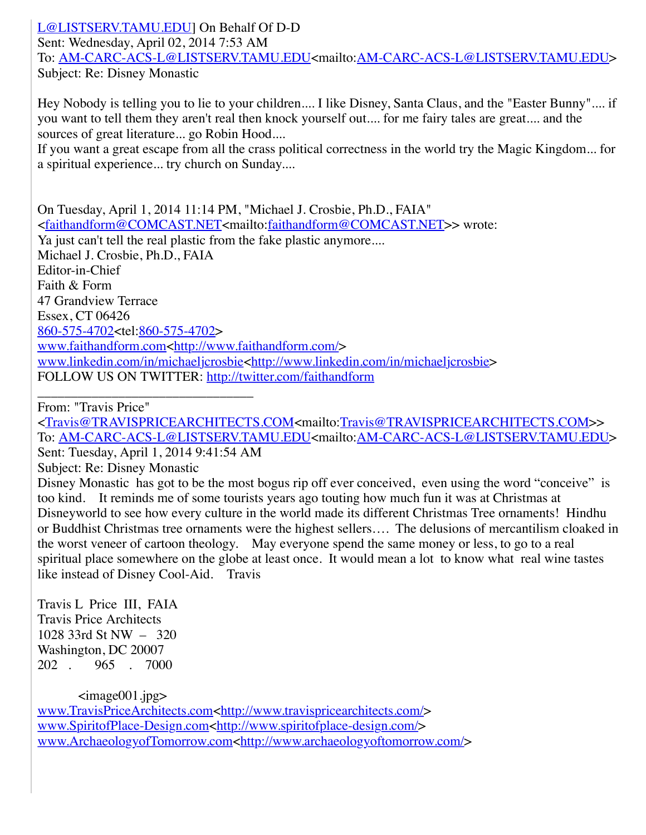[L@LISTSERV.TAMU.EDU\] On Behalf Of D-D](mailto:AM-CARC-ACS-L@LISTSERV.TAMU.EDU) Sent: Wednesday, April 02, 2014 7:53 AM To: [AM-CARC-ACS-L@LISTSERV.TAMU.EDU<](mailto:AM-CARC-ACS-L@LISTSERV.TAMU.EDU)mailto[:AM-CARC-ACS-L@LISTSERV.TAMU.EDU>](mailto:AM-CARC-ACS-L@LISTSERV.TAMU.EDU) Subject: Re: Disney Monastic

Hey Nobody is telling you to lie to your children.... I like Disney, Santa Claus, and the "Easter Bunny".... if you want to tell them they aren't real then knock yourself out.... for me fairy tales are great.... and the sources of great literature... go Robin Hood....

If you want a great escape from all the crass political correctness in the world try the Magic Kingdom... for a spiritual experience... try church on Sunday....

On Tuesday, April 1, 2014 11:14 PM, "Michael J. Crosbie, Ph.D., FAIA" <[faithandform@COMCAST.NET](mailto:faithandform@COMCAST.NET)<mailto:[faithandform@COMCAST.NET](mailto:faithandform@COMCAST.NET)>> wrote: Ya just can't tell the real plastic from the fake plastic anymore.... Michael J. Crosbie, Ph.D., FAIA Editor-in-Chief Faith & Form 47 Grandview Terrace Essex, CT 06426 [860-575-4702](tel:860-575-4702)<tel:[860-575-4702](tel:860-575-4702)> [www.faithandform.com<http://www.faithandform.com/](http://www.faithandform.com/)> [www.linkedin.com/in/michaeljcrosbie<http://www.linkedin.com/in/michaeljcrosbie](http://www.linkedin.com/in/michaeljcrosbie)> FOLLOW US ON TWITTER: <http://twitter.com/faithandform>

\_\_\_\_\_\_\_\_\_\_\_\_\_\_\_\_\_\_\_\_\_\_\_\_\_\_\_\_\_\_\_\_ From: "Travis Price"

<[Travis@TRAVISPRICEARCHITECTS.COM<](mailto:Travis@TRAVISPRICEARCHITECTS.COM)mailto[:Travis@TRAVISPRICEARCHITECTS.COM>](mailto:Travis@TRAVISPRICEARCHITECTS.COM)> To: [AM-CARC-ACS-L@LISTSERV.TAMU.EDU<](mailto:AM-CARC-ACS-L@LISTSERV.TAMU.EDU)mailto[:AM-CARC-ACS-L@LISTSERV.TAMU.EDU>](mailto:AM-CARC-ACS-L@LISTSERV.TAMU.EDU) Sent: Tuesday, April 1, 2014 9:41:54 AM

Subject: Re: Disney Monastic

Disney Monastic has got to be the most bogus rip off ever conceived, even using the word "conceive" is too kind. It reminds me of some tourists years ago touting how much fun it was at Christmas at Disneyworld to see how every culture in the world made its different Christmas Tree ornaments! Hindhu or Buddhist Christmas tree ornaments were the highest sellers…. The delusions of mercantilism cloaked in the worst veneer of cartoon theology. May everyone spend the same money or less, to go to a real spiritual place somewhere on the globe at least once. It would mean a lot to know what real wine tastes like instead of Disney Cool-Aid. Travis

Travis L Price III, FAIA Travis Price Architects 1028 33rd St NW – 320 Washington, DC 20007 202 . 965 . 7000

 $\langle \text{image}001 \text{.jpg} \rangle$ [www.TravisPriceArchitects.com<http://www.travispricearchitects.com/>](http://www.travispricearchitects.com/) [www.SpiritofPlace-Design.com<http://www.spiritofplace-design.com/>](http://www.spiritofplace-design.com/) [www.ArchaeologyofTomorrow.com<http://www.archaeologyoftomorrow.com/](http://www.archaeologyoftomorrow.com/)>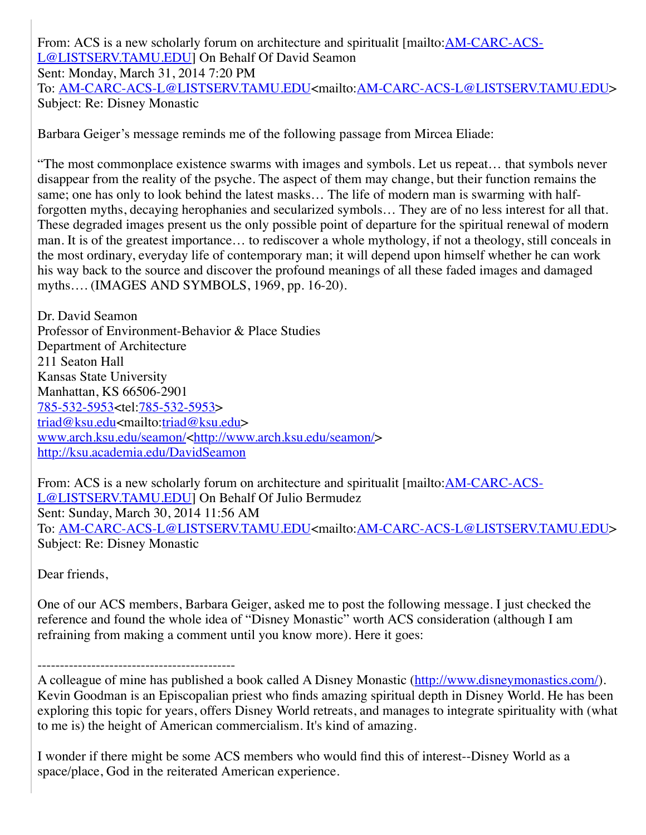From: ACS is a new scholarly forum on architecture and spiritualit [mailto: **AM-CARC-ACS-**L@LISTSERV.TAMU.EDU] On Behalf Of David Seamon Sent: Monday, March 31, 2014 7:20 PM To: [AM-CARC-ACS-L@LISTSERV.TAMU.EDU<](mailto:AM-CARC-ACS-L@LISTSERV.TAMU.EDU)mailto[:AM-CARC-ACS-L@LISTSERV.TAMU.EDU>](mailto:AM-CARC-ACS-L@LISTSERV.TAMU.EDU) Subject: Re: Disney Monastic

Barbara Geiger's message reminds me of the following passage from Mircea Eliade:

"The most commonplace existence swarms with images and symbols. Let us repeat… that symbols never disappear from the reality of the psyche. The aspect of them may change, but their function remains the same; one has only to look behind the latest masks… The life of modern man is swarming with halfforgotten myths, decaying herophanies and secularized symbols… They are of no less interest for all that. These degraded images present us the only possible point of departure for the spiritual renewal of modern man. It is of the greatest importance… to rediscover a whole mythology, if not a theology, still conceals in the most ordinary, everyday life of contemporary man; it will depend upon himself whether he can work his way back to the source and discover the profound meanings of all these faded images and damaged myths…. (IMAGES AND SYMBOLS, 1969, pp. 16-20).

Dr. David Seamon Professor of Environment-Behavior & Place Studies Department of Architecture 211 Seaton Hall Kansas State University Manhattan, KS 66506-2901 [785-532-5953](tel:785-532-5953)<tel:[785-532-5953](tel:785-532-5953)> [triad@ksu.edu](mailto:triad@ksu.edu)<mailto:[triad@ksu.edu](mailto:triad@ksu.edu)> [www.arch.ksu.edu/seamon/<http://www.arch.ksu.edu/seamon/](http://www.arch.ksu.edu/seamon/)> <http://ksu.academia.edu/DavidSeamon>

[From: ACS is a new scholarly forum on architecture and spiritualit \[mailto:AM-CARC-ACS-](mailto:AM-CARC-ACS-L@LISTSERV.TAMU.EDU)L@LISTSERV.TAMU.EDU] On Behalf Of Julio Bermudez Sent: Sunday, March 30, 2014 11:56 AM To: [AM-CARC-ACS-L@LISTSERV.TAMU.EDU<](mailto:AM-CARC-ACS-L@LISTSERV.TAMU.EDU)mailto[:AM-CARC-ACS-L@LISTSERV.TAMU.EDU>](mailto:AM-CARC-ACS-L@LISTSERV.TAMU.EDU) Subject: Re: Disney Monastic

Dear friends,

One of our ACS members, Barbara Geiger, asked me to post the following message. I just checked the reference and found the whole idea of "Disney Monastic" worth ACS consideration (although I am refraining from making a comment until you know more). Here it goes:

-------------------------------------------- A colleague of mine has published a book called A Disney Monastic [\(http://www.disneymonastics.com/](http://www.disneymonastics.com/)). Kevin Goodman is an Episcopalian priest who finds amazing spiritual depth in Disney World. He has been exploring this topic for years, offers Disney World retreats, and manages to integrate spirituality with (what to me is) the height of American commercialism. It's kind of amazing.

I wonder if there might be some ACS members who would find this of interest--Disney World as a space/place, God in the reiterated American experience.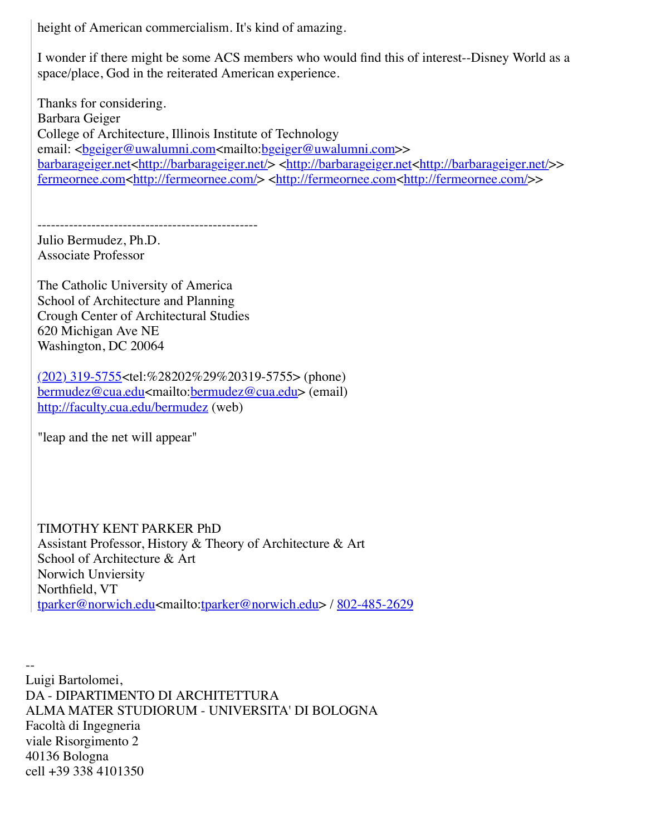height of American commercialism. It's kind of amazing.

I wonder if there might be some ACS members who would find this of interest--Disney World as a space/place, God in the reiterated American experience.

Thanks for considering. Barbara Geiger College of Architecture, Illinois Institute of Technology email: <br />
<u>email: <br />
email: <br />
email: <br />
email: <emp><br />
email: <emp><br />
email: <emp></a>
email: <emp></a>
email: <emp></u> [barbarageiger.net<http://barbarageiger.net/>](http://barbarageiger.net/) [<http://barbarageiger.net<http://barbarageiger.net/](http://barbarageiger.net/)>> [fermeornee.com<http://fermeornee.com/>](http://fermeornee.com/) <[http://fermeornee.com<http://fermeornee.com/](http://fermeornee.com/)>>

------------------------------------------------- Julio Bermudez, Ph.D. Associate Professor

The Catholic University of America School of Architecture and Planning Crough Center of Architectural Studies 620 Michigan Ave NE Washington, DC 20064

 $(202)$  319-5755 <tel: %28202%29%20319-5755 > (phone) [bermudez@cua.edu](mailto:bermudez@cua.edu)<mailto:[bermudez@cua.edu](mailto:bermudez@cua.edu)> (email) <http://faculty.cua.edu/bermudez> (web)

"leap and the net will appear"

TIMOTHY KENT PARKER PhD Assistant Professor, History & Theory of Architecture & Art School of Architecture & Art Norwich Unviersity Northfield, VT [tparker@norwich.edu](mailto:tparker@norwich.edu)<mailto:[tparker@norwich.edu](mailto:tparker@norwich.edu)> / [802-485-2629](tel:802-485-2629)

-- Luigi Bartolomei, DA - DIPARTIMENTO DI ARCHITETTURA ALMA MATER STUDIORUM - UNIVERSITA' DI BOLOGNA Facoltà di Ingegneria viale Risorgimento 2 40136 Bologna cell +39 338 4101350